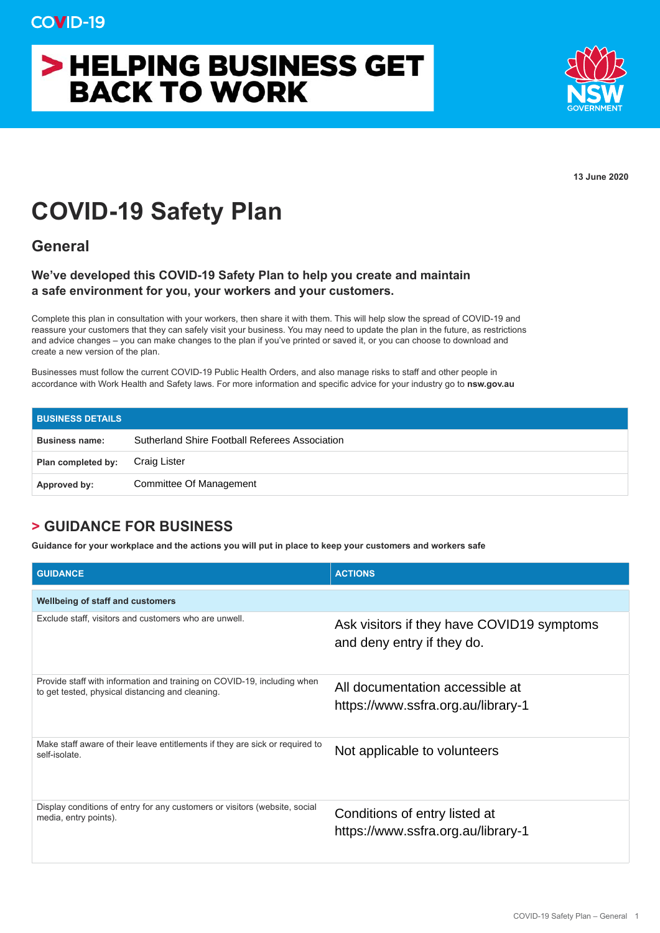## > HELPING BUSINESS GET **BACK TO WORK**



**13 June 2020**

## **COVID-19 Safety Plan**

**General**

## **We've developed this COVID-19 Safety Plan to help you create and maintain a safe environment for you, your workers and your customers.**

Complete this plan in consultation with your workers, then share it with them. This will help slow the spread of COVID-19 and reassure your customers that they can safely visit your business. You may need to update the plan in the future, as restrictions and advice changes – you can make changes to the plan if you've printed or saved it, or you can choose to download and create a new version of the plan.

Businesses must follow the current COVID-19 Public Health Orders, and also manage risks to staff and other people in accordance with Work Health and Safety laws. For more information and specific advice for your industry go to **nsw.gov.au**

| <b>BUSINESS DETAILS</b> |                                                |
|-------------------------|------------------------------------------------|
| <b>Business name:</b>   | Sutherland Shire Football Referees Association |
| Plan completed by:      | Craig Lister                                   |
| Approved by:            | Committee Of Management                        |

## **> GUIDANCE FOR BUSINESS**

**Guidance for your workplace and the actions you will put in place to keep your customers and workers safe** 

| <b>GUIDANCE</b>                                                                                                             | <b>ACTIONS</b>                                                           |
|-----------------------------------------------------------------------------------------------------------------------------|--------------------------------------------------------------------------|
| <b>Wellbeing of staff and customers</b>                                                                                     |                                                                          |
| Exclude staff, visitors and customers who are unwell.                                                                       | Ask visitors if they have COVID19 symptoms<br>and deny entry if they do. |
| Provide staff with information and training on COVID-19, including when<br>to get tested, physical distancing and cleaning. | All documentation accessible at<br>https://www.ssfra.org.au/library-1    |
| Make staff aware of their leave entitlements if they are sick or required to<br>self-isolate.                               | Not applicable to volunteers                                             |
| Display conditions of entry for any customers or visitors (website, social<br>media, entry points).                         | Conditions of entry listed at<br>https://www.ssfra.org.au/library-1      |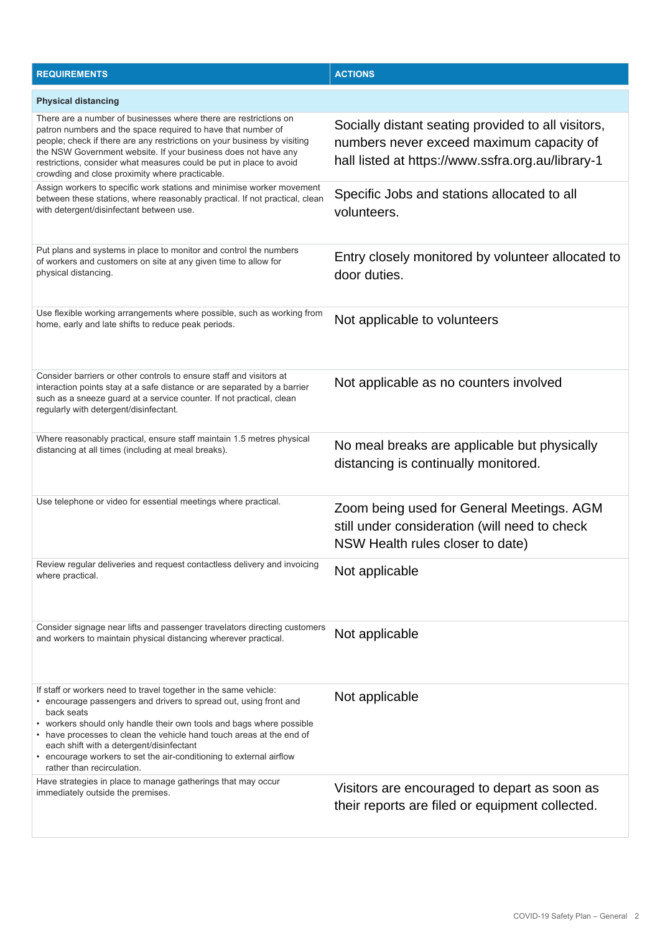| <b>REQUIREMENTS</b>                                                                                                                                                                                                                                                                                                                                                                                                                                  | <b>ACTIONS</b>                                                                                                                                      |
|------------------------------------------------------------------------------------------------------------------------------------------------------------------------------------------------------------------------------------------------------------------------------------------------------------------------------------------------------------------------------------------------------------------------------------------------------|-----------------------------------------------------------------------------------------------------------------------------------------------------|
| <b>Physical distancing</b>                                                                                                                                                                                                                                                                                                                                                                                                                           |                                                                                                                                                     |
| There are a number of businesses where there are restrictions on<br>patron numbers and the space required to have that number of<br>people; check if there are any restrictions on your business by visiting<br>the NSW Government website. If your business does not have any<br>restrictions, consider what measures could be put in place to avoid<br>crowding and close proximity where practicable.                                             | Socially distant seating provided to all visitors,<br>numbers never exceed maximum capacity of<br>hall listed at https://www.ssfra.org.au/library-1 |
| Assign workers to specific work stations and minimise worker movement<br>between these stations, where reasonably practical. If not practical, clean<br>with detergent/disinfectant between use.                                                                                                                                                                                                                                                     | Specific Jobs and stations allocated to all<br>volunteers.                                                                                          |
| Put plans and systems in place to monitor and control the numbers<br>of workers and customers on site at any given time to allow for<br>physical distancing.                                                                                                                                                                                                                                                                                         | Entry closely monitored by volunteer allocated to<br>door duties.                                                                                   |
| Use flexible working arrangements where possible, such as working from<br>home, early and late shifts to reduce peak periods.                                                                                                                                                                                                                                                                                                                        | Not applicable to volunteers                                                                                                                        |
| Consider barriers or other controls to ensure staff and visitors at<br>interaction points stay at a safe distance or are separated by a barrier<br>such as a sneeze guard at a service counter. If not practical, clean<br>regularly with detergent/disinfectant.                                                                                                                                                                                    | Not applicable as no counters involved                                                                                                              |
| Where reasonably practical, ensure staff maintain 1.5 metres physical<br>distancing at all times (including at meal breaks).                                                                                                                                                                                                                                                                                                                         | No meal breaks are applicable but physically<br>distancing is continually monitored.                                                                |
| Use telephone or video for essential meetings where practical.                                                                                                                                                                                                                                                                                                                                                                                       | Zoom being used for General Meetings. AGM<br>still under consideration (will need to check<br>NSW Health rules closer to date)                      |
| Review regular deliveries and request contactless delivery and invoicing<br>where practical.                                                                                                                                                                                                                                                                                                                                                         | Not applicable                                                                                                                                      |
| Consider signage near lifts and passenger travelators directing customers<br>and workers to maintain physical distancing wherever practical.                                                                                                                                                                                                                                                                                                         | Not applicable                                                                                                                                      |
| If staff or workers need to travel together in the same vehicle:<br>• encourage passengers and drivers to spread out, using front and<br>back seats<br>• workers should only handle their own tools and bags where possible<br>• have processes to clean the vehicle hand touch areas at the end of<br>each shift with a detergent/disinfectant<br>• encourage workers to set the air-conditioning to external airflow<br>rather than recirculation. | Not applicable                                                                                                                                      |
| Have strategies in place to manage gatherings that may occur<br>immediately outside the premises.                                                                                                                                                                                                                                                                                                                                                    | Visitors are encouraged to depart as soon as<br>their reports are filed or equipment collected.                                                     |